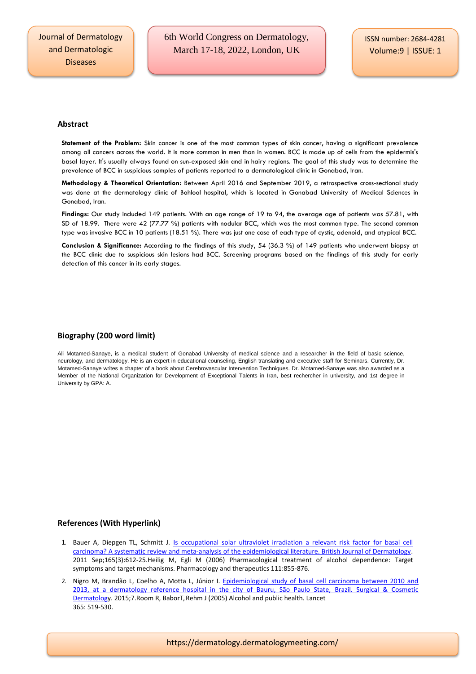## **Abstract**

**Statement of the Problem:** Skin cancer is one of the most common types of skin cancer, having a significant prevalence among all cancers across the world. It is more common in men than in women. BCC is made up of cells from the epidermis's basal layer. It's usually always found on sun-exposed skin and in hairy regions. The goal of this study was to determine the prevalence of BCC in suspicious samples of patients reported to a dermatological clinic in Gonabad, Iran.

**Methodology & Theoretical Orientation:** Between April 2016 and September 2019, a retrospective cross-sectional study was done at the dermatology clinic of Bohlool hospital, which is located in Gonabad University of Medical Sciences in Gonabad, Iran.

**Findings:** Our study included 149 patients. With an age range of 19 to 94, the average age of patients was 57.81, with SD of 18.99. There were 42 (77.77 %) patients with nodular BCC, which was the most common type. The second common type was invasive BCC in 10 patients (18.51 %). There was just one case of each type of cystic, adenoid, and atypical BCC.

**Conclusion & Significance:** According to the findings of this study, 54 (36.3 %) of 149 patients who underwent biopsy at the BCC clinic due to suspicious skin lesions had BCC. Screening programs based on the findings of this study for early detection of this cancer in its early stages.

## **Biography (200 word limit)**

Ali Motamed-Sanaye, is a medical student of Gonabad University of medical science and a researcher in the field of basic science, neurology, and dermatology. He is an expert in educational counseling, English translating and executive staff for Seminars. Currently, Dr. Motamed-Sanaye writes a chapter of a book about Cerebrovascular Intervention Techniques. Dr. Motamed-Sanaye was also awarded as a Member of the National Organization for Development of Exceptional Talents in Iran, best rechercher in university, and 1st degree in University by GPA: A.

## **References (With Hyperlink)**

- 1. Bauer A, Diepgen TL, Schmitt J. Is occupational solar ultraviolet irradiation a relevant risk factor for basal cell carcinoma? A systematic review and meta-analysis of the epidemiological literature. British Journal of Dermatology. 2011 Sep;165(3):612-25.Heilig M, Egli M (2006) Pharmacological treatment of alcohol dependence: Target symptoms and target mechanisms. Pharmacology and therapeutics 111:855-876.
- 2. Nigro M, Brandão L, Coelho A, Motta L, Júnior I. Epidemiological study of basal cell carcinoma between 2010 and [2013, at a dermatology reference hospital in the city of Bauru, São Paulo State,](https://dermatology.dermatologymeeting.com/) Brazil. Surgical & Cosmetic [Dermatology](https://dermatology.dermatologymeeting.com/). 2015;7.Room R, BaborT, Rehm J (2005) Alcohol and public health. Lancet 365: 519-530.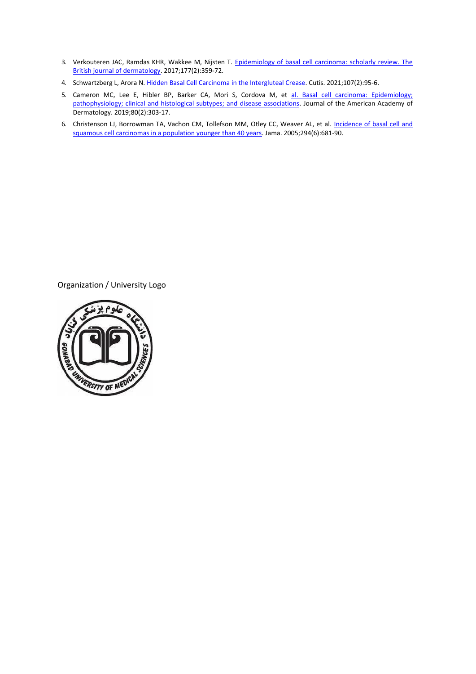- 3. Verkouteren JAC, Ramdas KHR, Wakkee M, Nijsten T. Epidemiology of basal cell carcinoma: scholarly review. The [British journal of dermatology.](https://dermatology.dermatologymeeting.com/) 2017;177(2):359-72.
- 4. Schwartzberg L, Arora N[. Hidden Basal Cell Carcinoma in the Intergluteal Crease.](https://dermatology.dermatologymeeting.com/) Cutis. 2021;107(2):95-6.
- 5. Cameron MC, Lee E, Hibler BP, Barker CA, Mori S, Cordova M, et al. Basal cell carcinoma: Epidemiology; [pathophysiology; clinical and histological subtypes; and disease associations.](https://dermatology.dermatologymeeting.com/) Journal of the American Academy of Dermatology. 2019;80(2):303-17.
- 6. Christenson LJ, Borrowman TA, Vachon CM, Tollefson MM, Otley CC, Weaver AL, et al. Incidence of basal cell and squamous cell [carcinomas in a population younger than 40 years.](https://dermatology.dermatologymeeting.com/) Jama. 2005;294(6):681-90.

Organization / University Logo